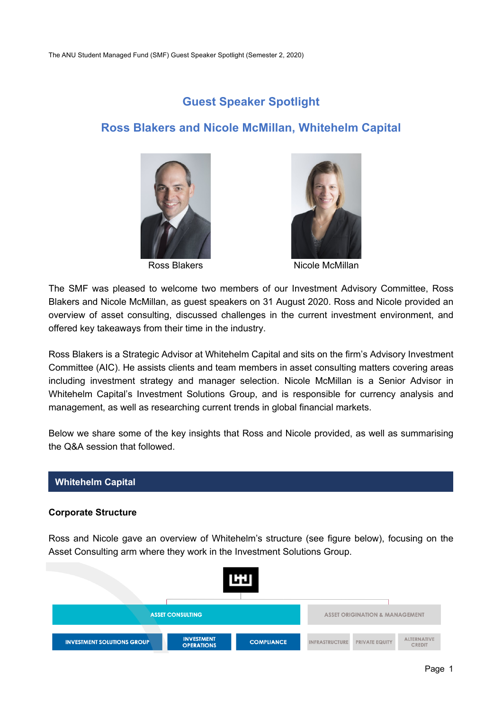# **Guest Speaker Spotlight**

# **Ross Blakers and Nicole McMillan, Whitehelm Capital**





Ross Blakers Nicole McMillan

The SMF was pleased to welcome two members of our Investment Advisory Committee, Ross Blakers and Nicole McMillan, as guest speakers on 31 August 2020. Ross and Nicole provided an overview of asset consulting, discussed challenges in the current investment environment, and offered key takeaways from their time in the industry.

Ross Blakers is a Strategic Advisor at Whitehelm Capital and sits on the firm's Advisory Investment Committee (AIC). He assists clients and team members in asset consulting matters covering areas including investment strategy and manager selection. Nicole McMillan is a Senior Advisor in Whitehelm Capital's Investment Solutions Group, and is responsible for currency analysis and management, as well as researching current trends in global financial markets.

Below we share some of the key insights that Ross and Nicole provided, as well as summarising the Q&A session that followed.

#### **Whitehelm Capital**

#### **Corporate Structure**

Ross and Nicole gave an overview of Whitehelm's structure (see figure below), focusing on the Asset Consulting arm where they work in the Investment Solutions Group.

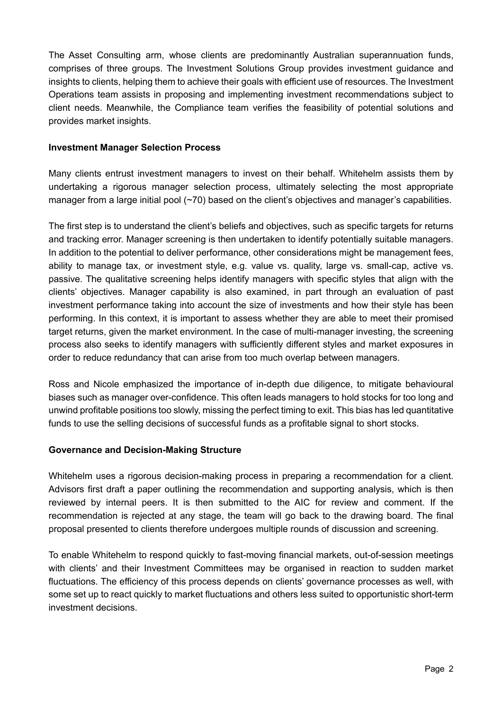The Asset Consulting arm, whose clients are predominantly Australian superannuation funds, comprises of three groups. The Investment Solutions Group provides investment guidance and insights to clients, helping them to achieve their goals with efficient use of resources. The Investment Operations team assists in proposing and implementing investment recommendations subject to client needs. Meanwhile, the Compliance team verifies the feasibility of potential solutions and provides market insights.

#### **Investment Manager Selection Process**

Many clients entrust investment managers to invest on their behalf. Whitehelm assists them by undertaking a rigorous manager selection process, ultimately selecting the most appropriate manager from a large initial pool (~70) based on the client's objectives and manager's capabilities.

The first step is to understand the client's beliefs and objectives, such as specific targets for returns and tracking error. Manager screening is then undertaken to identify potentially suitable managers. In addition to the potential to deliver performance, other considerations might be management fees, ability to manage tax, or investment style, e.g. value vs. quality, large vs. small-cap, active vs. passive. The qualitative screening helps identify managers with specific styles that align with the clients' objectives. Manager capability is also examined, in part through an evaluation of past investment performance taking into account the size of investments and how their style has been performing. In this context, it is important to assess whether they are able to meet their promised target returns, given the market environment. In the case of multi-manager investing, the screening process also seeks to identify managers with sufficiently different styles and market exposures in order to reduce redundancy that can arise from too much overlap between managers.

Ross and Nicole emphasized the importance of in-depth due diligence, to mitigate behavioural biases such as manager over-confidence. This often leads managers to hold stocks for too long and unwind profitable positions too slowly, missing the perfect timing to exit. This bias has led quantitative funds to use the selling decisions of successful funds as a profitable signal to short stocks.

### **Governance and Decision-Making Structure**

Whitehelm uses a rigorous decision-making process in preparing a recommendation for a client. Advisors first draft a paper outlining the recommendation and supporting analysis, which is then reviewed by internal peers. It is then submitted to the AIC for review and comment. If the recommendation is rejected at any stage, the team will go back to the drawing board. The final proposal presented to clients therefore undergoes multiple rounds of discussion and screening.

To enable Whitehelm to respond quickly to fast-moving financial markets, out-of-session meetings with clients' and their Investment Committees may be organised in reaction to sudden market fluctuations. The efficiency of this process depends on clients' governance processes as well, with some set up to react quickly to market fluctuations and others less suited to opportunistic short-term investment decisions.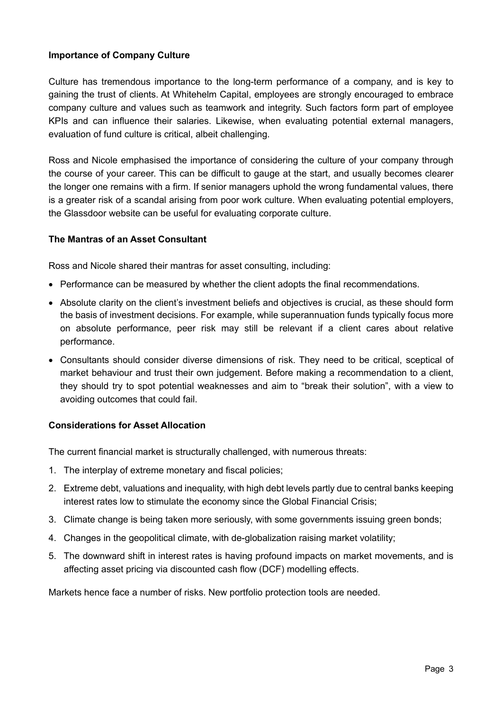#### **Importance of Company Culture**

Culture has tremendous importance to the long-term performance of a company, and is key to gaining the trust of clients. At Whitehelm Capital, employees are strongly encouraged to embrace company culture and values such as teamwork and integrity. Such factors form part of employee KPIs and can influence their salaries. Likewise, when evaluating potential external managers, evaluation of fund culture is critical, albeit challenging.

Ross and Nicole emphasised the importance of considering the culture of your company through the course of your career. This can be difficult to gauge at the start, and usually becomes clearer the longer one remains with a firm. If senior managers uphold the wrong fundamental values, there is a greater risk of a scandal arising from poor work culture. When evaluating potential employers, the Glassdoor website can be useful for evaluating corporate culture.

#### **The Mantras of an Asset Consultant**

Ross and Nicole shared their mantras for asset consulting, including:

- Performance can be measured by whether the client adopts the final recommendations.
- Absolute clarity on the client's investment beliefs and objectives is crucial, as these should form the basis of investment decisions. For example, while superannuation funds typically focus more on absolute performance, peer risk may still be relevant if a client cares about relative performance.
- Consultants should consider diverse dimensions of risk. They need to be critical, sceptical of market behaviour and trust their own judgement. Before making a recommendation to a client, they should try to spot potential weaknesses and aim to "break their solution", with a view to avoiding outcomes that could fail.

#### **Considerations for Asset Allocation**

The current financial market is structurally challenged, with numerous threats:

- 1. The interplay of extreme monetary and fiscal policies;
- 2. Extreme debt, valuations and inequality, with high debt levels partly due to central banks keeping interest rates low to stimulate the economy since the Global Financial Crisis;
- 3. Climate change is being taken more seriously, with some governments issuing green bonds;
- 4. Changes in the geopolitical climate, with de-globalization raising market volatility;
- 5. The downward shift in interest rates is having profound impacts on market movements, and is affecting asset pricing via discounted cash flow (DCF) modelling effects.

Markets hence face a number of risks. New portfolio protection tools are needed.